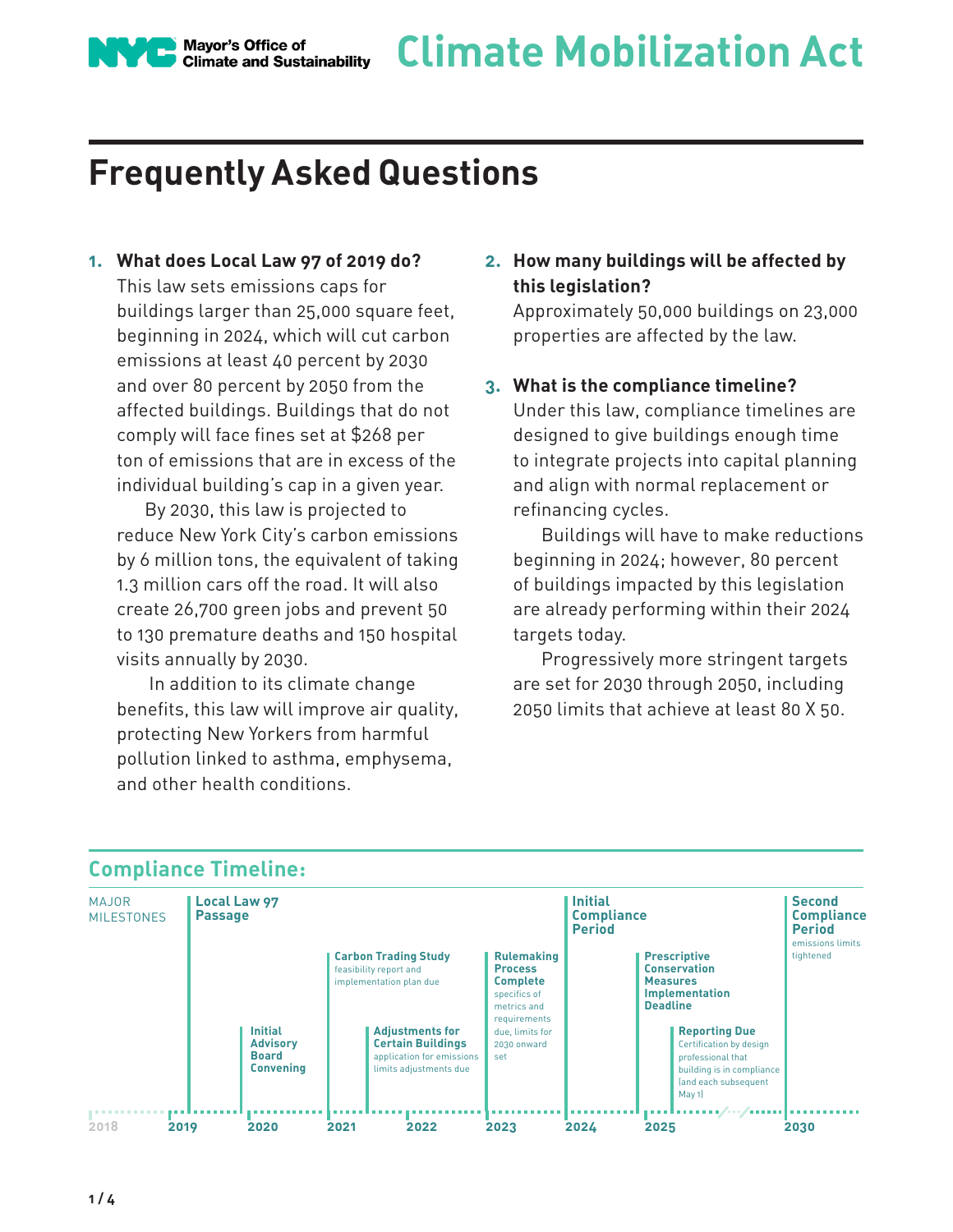

# **Frequently Asked Questions**

#### **1. What does Local Law 97 of 2019 do?**

This law sets emissions caps for buildings larger than 25,000 square feet, beginning in 2024, which will cut carbon emissions at least 40 percent by 2030 and over 80 percent by 2050 from the affected buildings. Buildings that do not comply will face fines set at \$268 per ton of emissions that are in excess of the individual building's cap in a given year.

By 2030, this law is projected to reduce New York City's carbon emissions by 6 million tons, the equivalent of taking 1.3 million cars off the road. It will also create 26,700 green jobs and prevent 50 to 130 premature deaths and 150 hospital visits annually by 2030.

 In addition to its climate change benefits, this law will improve air quality, protecting New Yorkers from harmful pollution linked to asthma, emphysema, and other health conditions.

## **2. How many buildings will be affected by this legislation?**

Approximately 50,000 buildings on 23,000 properties are affected by the law.

#### **3. What is the compliance timeline?**

Under this law, compliance timelines are designed to give buildings enough time to integrate projects into capital planning and align with normal replacement or refinancing cycles.

Buildings will have to make reductions beginning in 2024; however, 80 percent of buildings impacted by this legislation are already performing within their 2024 targets today.

Progressively more stringent targets are set for 2030 through 2050, including 2050 limits that achieve at least 80 X 50.

| <b>MAJOR</b><br><b>MILESTONES</b> | <b>Local Law 97</b><br><b>Passage</b> |                                                                       |      |                                                                                                                                                                                               | <b>Initial</b><br><b>Compliance</b><br><b>Period</b>                                                                                           |      |                                    | <b>Second</b><br><b>Compliance</b><br><b>Period</b><br>emissions limits                                                                                                                                    |           |
|-----------------------------------|---------------------------------------|-----------------------------------------------------------------------|------|-----------------------------------------------------------------------------------------------------------------------------------------------------------------------------------------------|------------------------------------------------------------------------------------------------------------------------------------------------|------|------------------------------------|------------------------------------------------------------------------------------------------------------------------------------------------------------------------------------------------------------|-----------|
|                                   |                                       | <b>Initial</b><br><b>Advisory</b><br><b>Board</b><br><b>Convening</b> |      | <b>Carbon Trading Study</b><br>feasibility report and<br>implementation plan due<br><b>Adjustments for</b><br><b>Certain Buildings</b><br>application for emissions<br>limits adjustments due | <b>Rulemaking</b><br><b>Process</b><br><b>Complete</b><br>specifics of<br>metrics and<br>requirements<br>due, limits for<br>2030 onward<br>set |      | <b>Measures</b><br><b>Deadline</b> | <b>Prescriptive</b><br><b>Conservation</b><br><b>Implementation</b><br><b>Reporting Due</b><br>Certification by design<br>professional that<br>building is in compliance<br>(and each subsequent<br>May 1) | tightened |
| 2018                              | 2019                                  | 2020                                                                  | 2021 | 2022                                                                                                                                                                                          | 2023                                                                                                                                           | 2024 | 2025                               |                                                                                                                                                                                                            | 2030      |

## **Compliance Timeline:**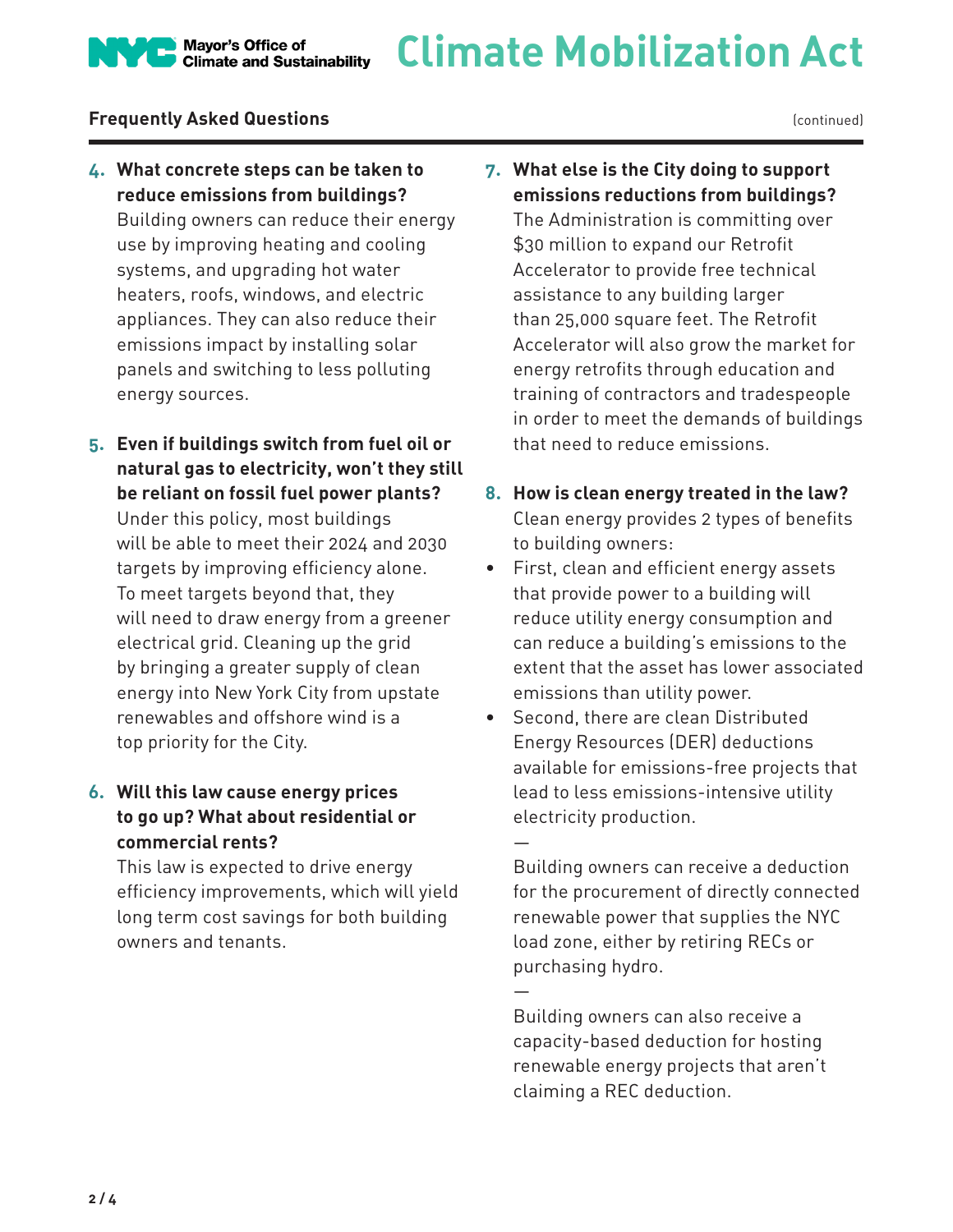## **Frequently Asked Questions**

(continued)

**4. What concrete steps can be taken to reduce emissions from buildings?**  Building owners can reduce their energy use by improving heating and cooling systems, and upgrading hot water heaters, roofs, windows, and electric appliances. They can also reduce their emissions impact by installing solar panels and switching to less polluting energy sources.

Mayor's Office of<br>Climate and Sustainability

**5. Even if buildings switch from fuel oil or natural gas to electricity, won't they still be reliant on fossil fuel power plants?**  Under this policy, most buildings will be able to meet their 2024 and 2030 targets by improving efficiency alone. To meet targets beyond that, they will need to draw energy from a greener electrical grid. Cleaning up the grid by bringing a greater supply of clean energy into New York City from upstate renewables and offshore wind is a top priority for the City.

## **6. Will this law cause energy prices to go up? What about residential or commercial rents?**

This law is expected to drive energy efficiency improvements, which will yield long term cost savings for both building owners and tenants.

- **7. What else is the City doing to support emissions reductions from buildings?**  The Administration is committing over \$30 million to expand our Retrofit Accelerator to provide free technical assistance to any building larger than 25,000 square feet. The Retrofit Accelerator will also grow the market for energy retrofits through education and training of contractors and tradespeople in order to meet the demands of buildings that need to reduce emissions.
- **8. How is clean energy treated in the law?** Clean energy provides 2 types of benefits to building owners:
- First, clean and efficient energy assets that provide power to a building will reduce utility energy consumption and can reduce a building's emissions to the extent that the asset has lower associated emissions than utility power.
- Second, there are clean Distributed Energy Resources (DER) deductions available for emissions-free projects that lead to less emissions-intensive utility electricity production.

—

—

Building owners can receive a deduction for the procurement of directly connected renewable power that supplies the NYC load zone, either by retiring RECs or purchasing hydro.

Building owners can also receive a capacity-based deduction for hosting renewable energy projects that aren't claiming a REC deduction.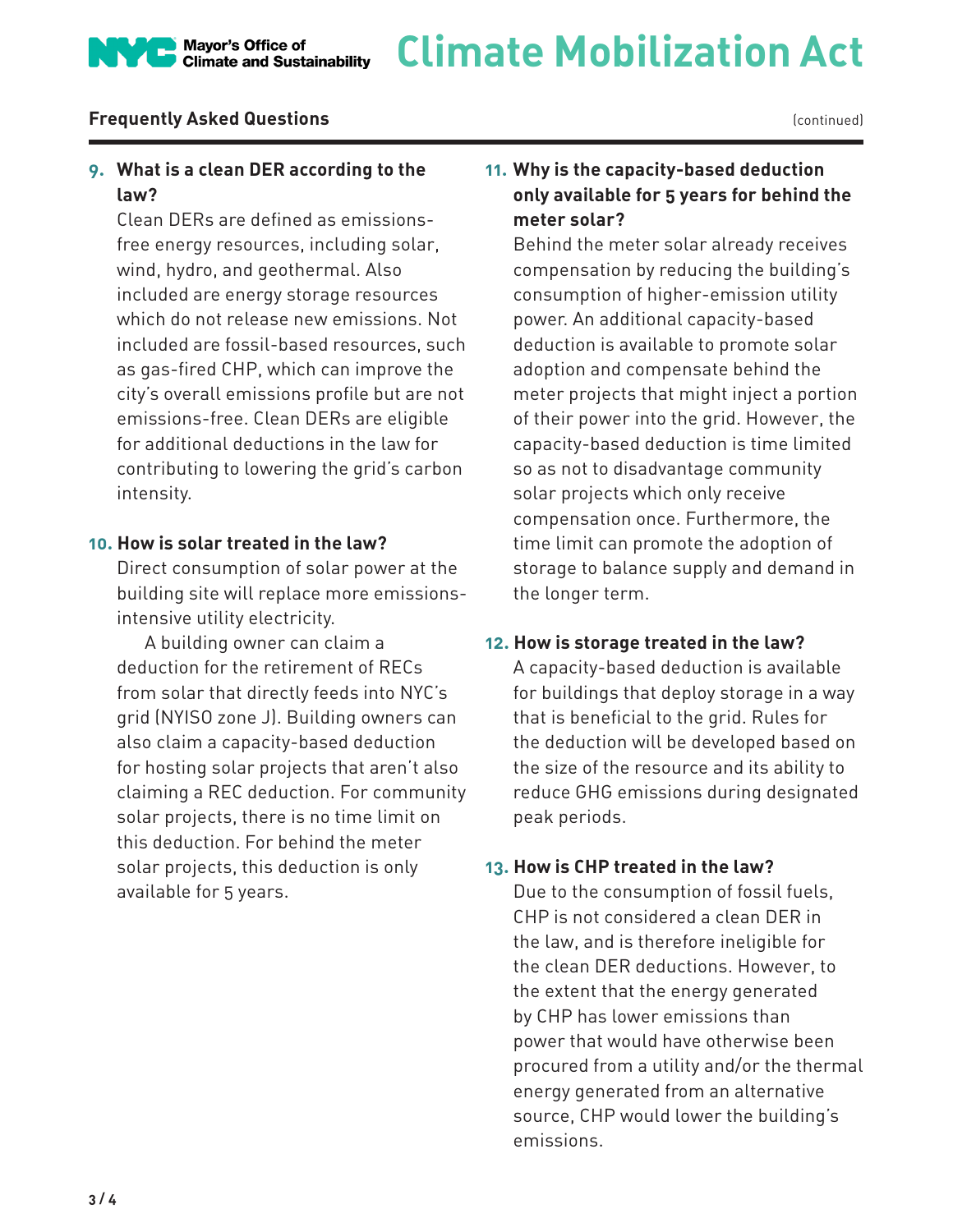# **Climate Mobilization Act** Mayor's Office of<br>Climate and Sustainability

## **Frequently Asked Questions**

## **9. What is a clean DER according to the law?**

Clean DERs are defined as emissionsfree energy resources, including solar, wind, hydro, and geothermal. Also included are energy storage resources which do not release new emissions. Not included are fossil-based resources, such as gas-fired CHP, which can improve the city's overall emissions profile but are not emissions-free. Clean DERs are eligible for additional deductions in the law for contributing to lowering the grid's carbon intensity.

#### **10. How is solar treated in the law?**

Direct consumption of solar power at the building site will replace more emissionsintensive utility electricity.

A building owner can claim a deduction for the retirement of RECs from solar that directly feeds into NYC's grid (NYISO zone J). Building owners can also claim a capacity-based deduction for hosting solar projects that aren't also claiming a REC deduction. For community solar projects, there is no time limit on this deduction. For behind the meter solar projects, this deduction is only available for 5 years.

## **11. Why is the capacity-based deduction only available for 5 years for behind the meter solar?**

Behind the meter solar already receives compensation by reducing the building's consumption of higher-emission utility power. An additional capacity-based deduction is available to promote solar adoption and compensate behind the meter projects that might inject a portion of their power into the grid. However, the capacity-based deduction is time limited so as not to disadvantage community solar projects which only receive compensation once. Furthermore, the time limit can promote the adoption of storage to balance supply and demand in the longer term.

#### **12. How is storage treated in the law?**

A capacity-based deduction is available for buildings that deploy storage in a way that is beneficial to the grid. Rules for the deduction will be developed based on the size of the resource and its ability to reduce GHG emissions during designated peak periods.

#### **13. How is CHP treated in the law?**

Due to the consumption of fossil fuels, CHP is not considered a clean DER in the law, and is therefore ineligible for the clean DER deductions. However, to the extent that the energy generated by CHP has lower emissions than power that would have otherwise been procured from a utility and/or the thermal energy generated from an alternative source, CHP would lower the building's emissions.